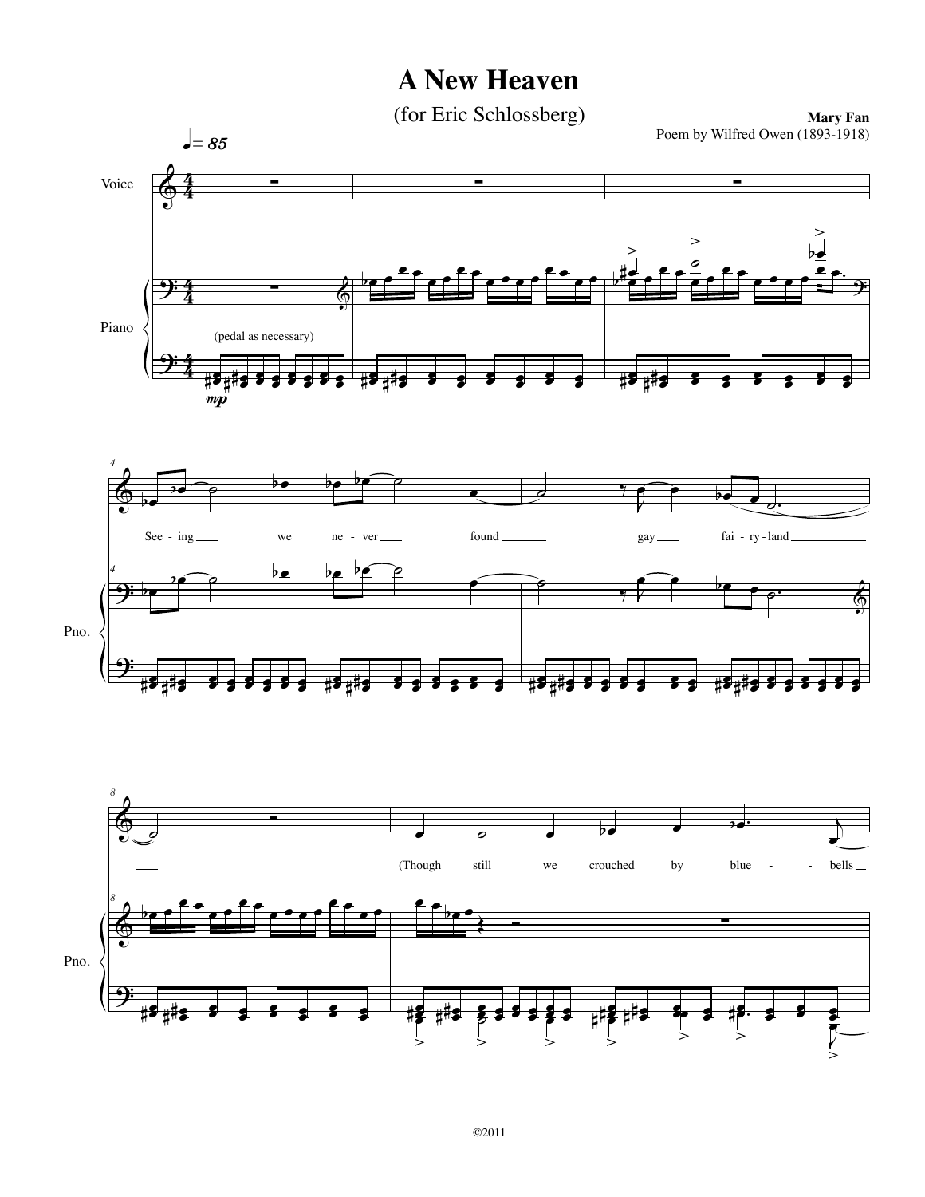## **A New Heaven**

(for Eric Schlossberg)

**Mary Fan** Poem by Wilfred Owen (1893-1918)



 $\geq$ 

 $\overline{\phantom{a}}$ 

 $\geq$ 

|<br>>

 $> 5$ 

'>

 $\geq$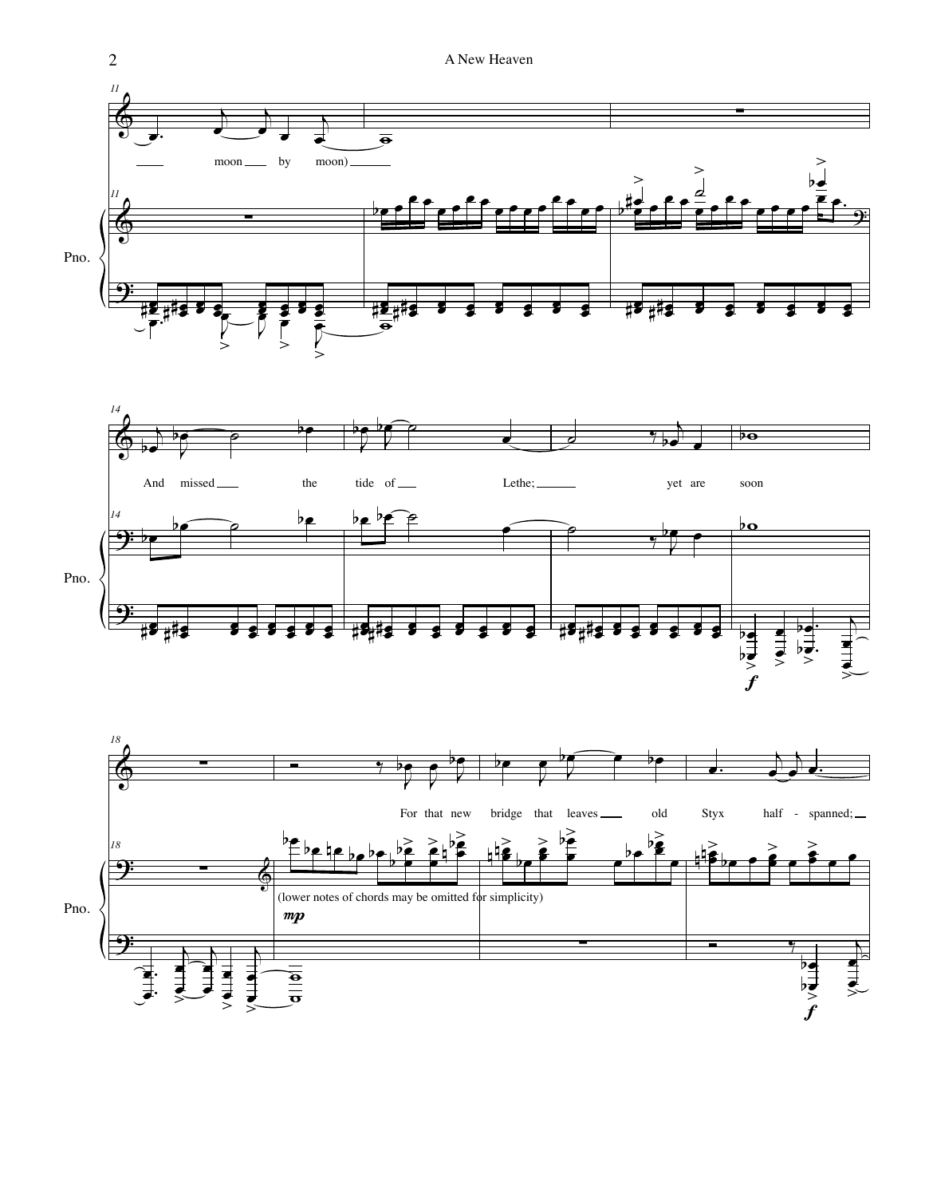



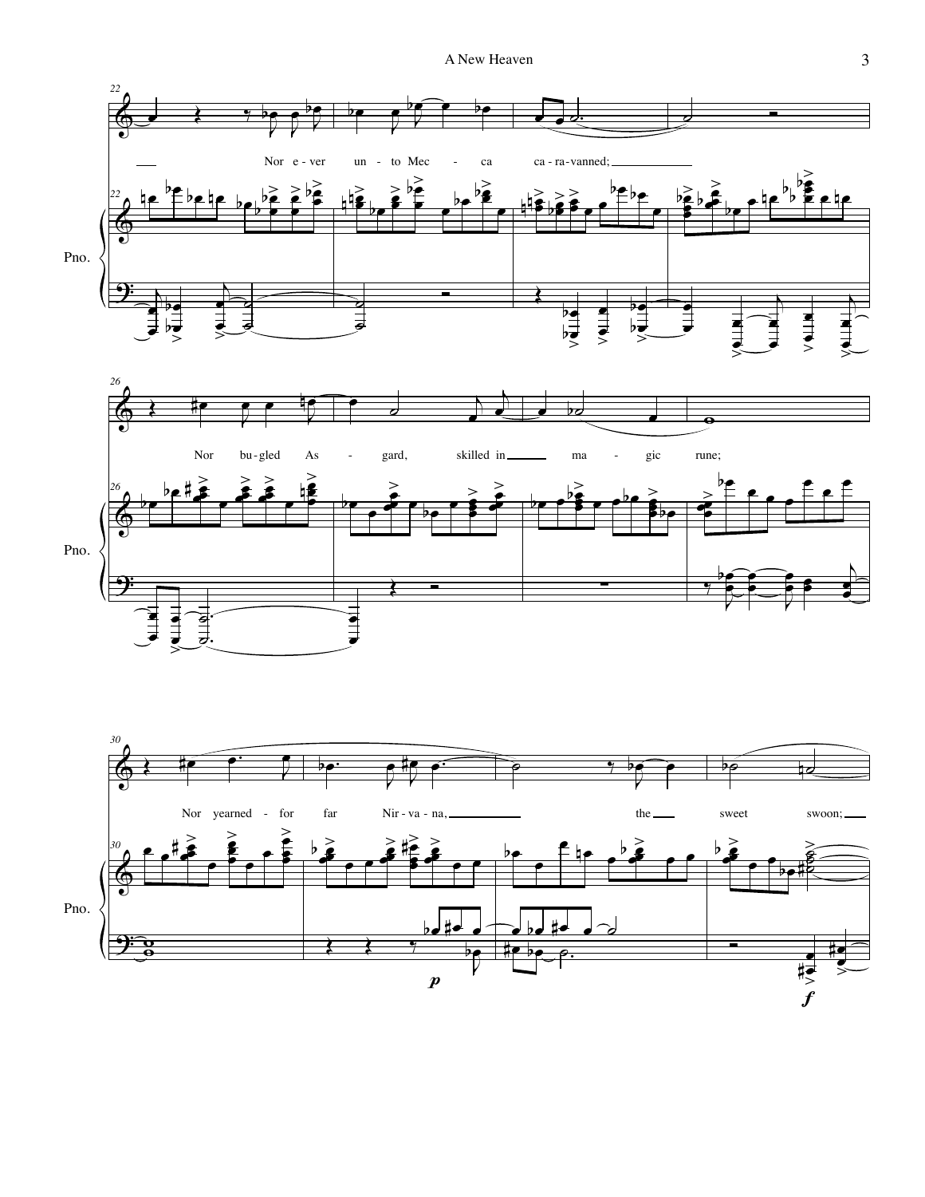

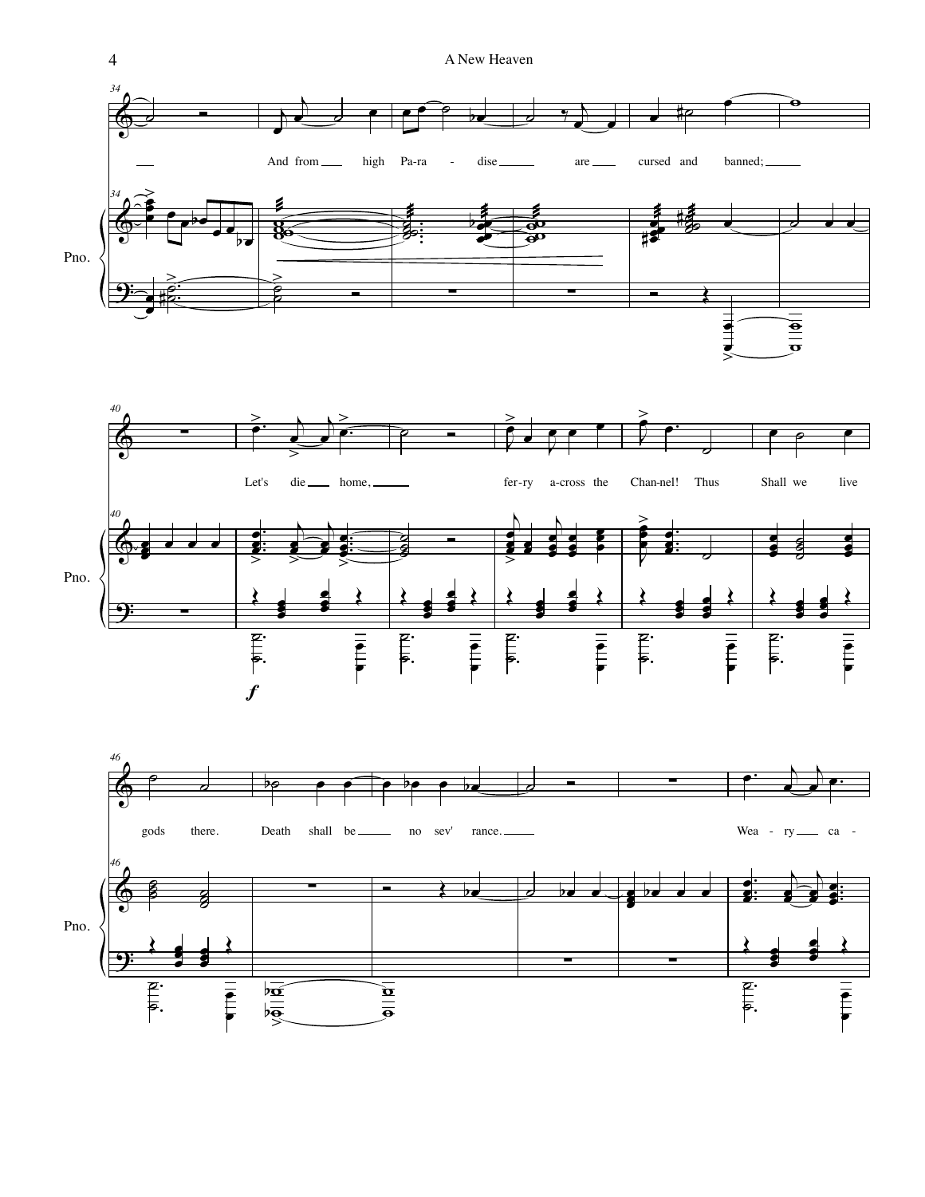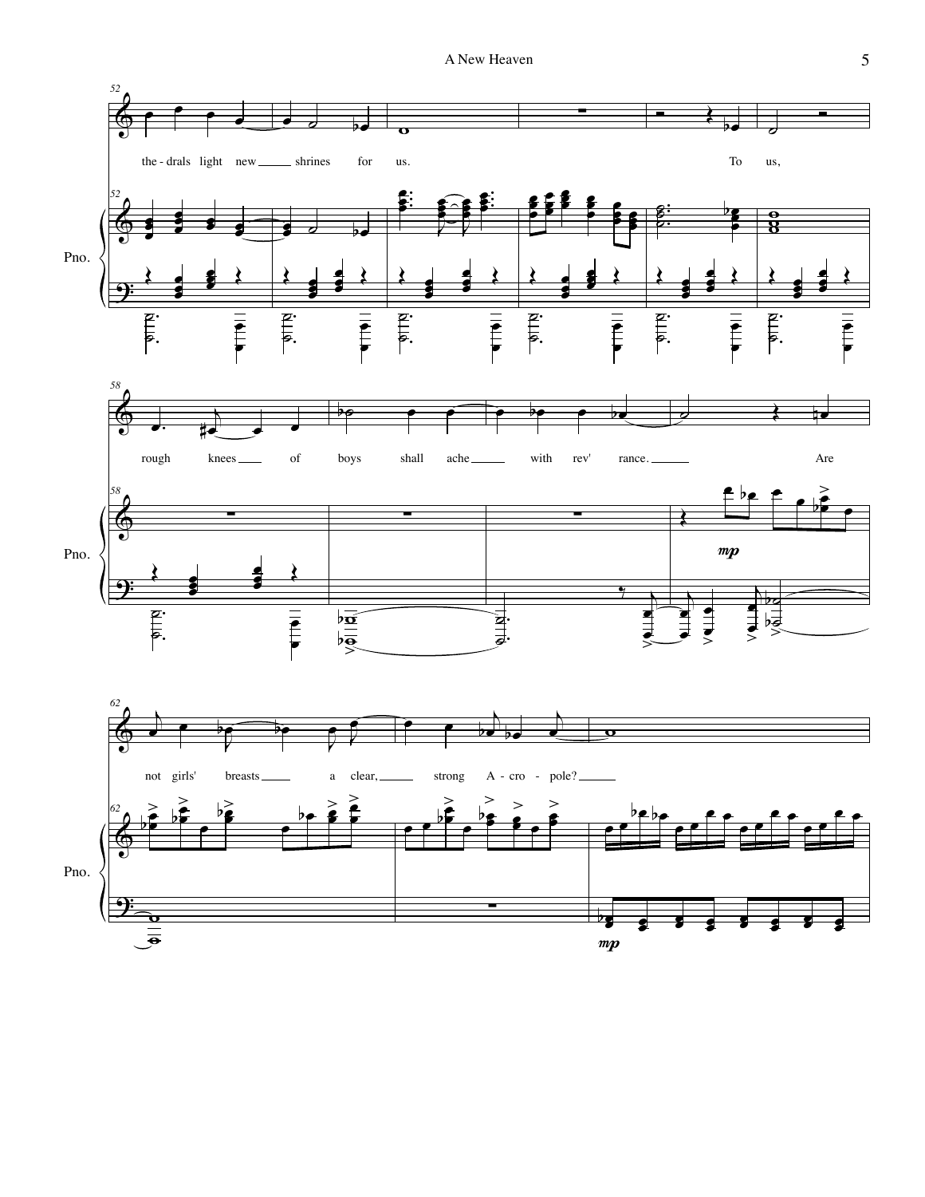